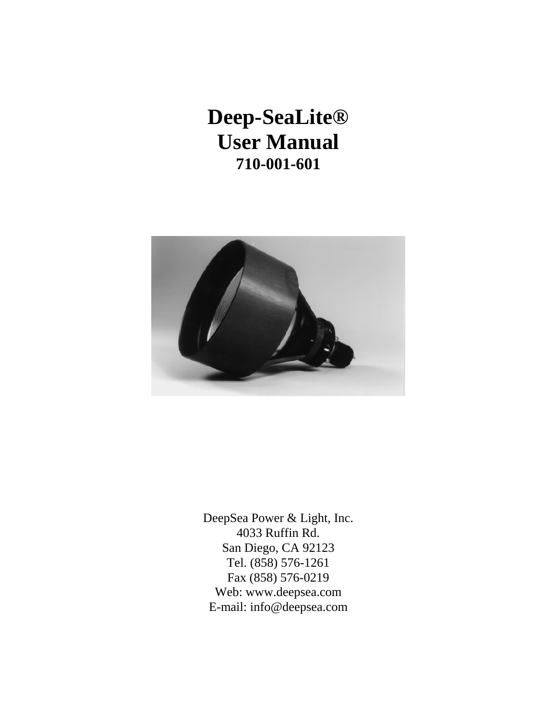**Deep-SeaLite® User Manual 710-001-601**



DeepSea Power & Light, Inc. 4033 Ruffin Rd. San Diego, CA 92123 Tel. (858) 576-1261 Fax (858) 576-0219 Web: www.deepsea.com E-mail: info@deepsea.com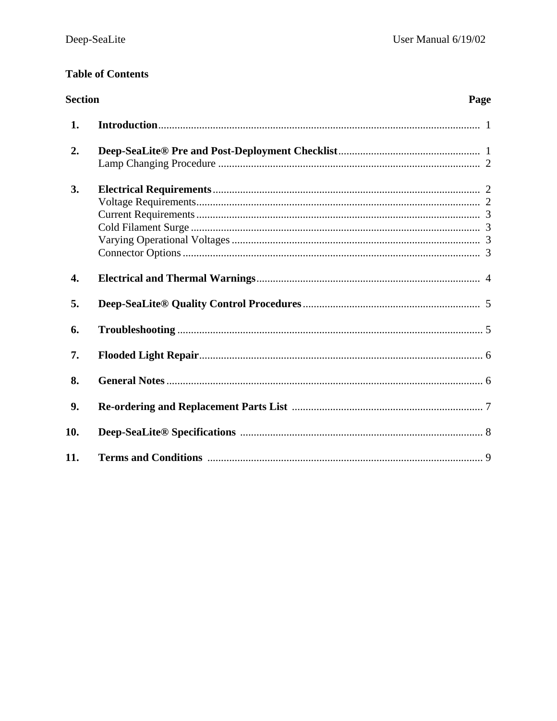# **Table of Contents**

| <b>Section</b><br>Page |  |  |
|------------------------|--|--|
| 1.                     |  |  |
| 2.                     |  |  |
| 3.                     |  |  |
| $\overline{4}$ .       |  |  |
| 5.                     |  |  |
| 6.                     |  |  |
| 7.                     |  |  |
| 8.                     |  |  |
| 9.                     |  |  |
| 10.                    |  |  |
| 11.                    |  |  |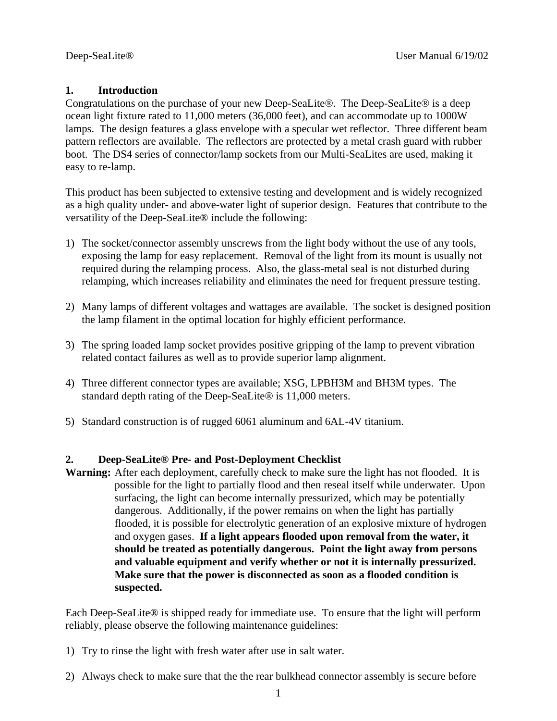# **1. Introduction**

Congratulations on the purchase of your new Deep-SeaLite®. The Deep-SeaLite® is a deep ocean light fixture rated to 11,000 meters (36,000 feet), and can accommodate up to 1000W lamps. The design features a glass envelope with a specular wet reflector. Three different beam pattern reflectors are available. The reflectors are protected by a metal crash guard with rubber boot. The DS4 series of connector/lamp sockets from our Multi-SeaLites are used, making it easy to re-lamp.

This product has been subjected to extensive testing and development and is widely recognized as a high quality under- and above-water light of superior design. Features that contribute to the versatility of the Deep-SeaLite® include the following:

- 1) The socket/connector assembly unscrews from the light body without the use of any tools, exposing the lamp for easy replacement. Removal of the light from its mount is usually not required during the relamping process. Also, the glass-metal seal is not disturbed during relamping, which increases reliability and eliminates the need for frequent pressure testing.
- 2) Many lamps of different voltages and wattages are available. The socket is designed position the lamp filament in the optimal location for highly efficient performance.
- 3) The spring loaded lamp socket provides positive gripping of the lamp to prevent vibration related contact failures as well as to provide superior lamp alignment.
- 4) Three different connector types are available; XSG, LPBH3M and BH3M types. The standard depth rating of the Deep-SeaLite® is 11,000 meters.
- 5) Standard construction is of rugged 6061 aluminum and 6AL-4V titanium.

### **2. Deep-SeaLite® Pre- and Post-Deployment Checklist**

**Warning:** After each deployment, carefully check to make sure the light has not flooded. It is possible for the light to partially flood and then reseal itself while underwater. Upon surfacing, the light can become internally pressurized, which may be potentially dangerous. Additionally, if the power remains on when the light has partially flooded, it is possible for electrolytic generation of an explosive mixture of hydrogen and oxygen gases. **If a light appears flooded upon removal from the water, it should be treated as potentially dangerous. Point the light away from persons and valuable equipment and verify whether or not it is internally pressurized. Make sure that the power is disconnected as soon as a flooded condition is suspected.**

Each Deep-SeaLite® is shipped ready for immediate use. To ensure that the light will perform reliably, please observe the following maintenance guidelines:

- 1) Try to rinse the light with fresh water after use in salt water.
- 2) Always check to make sure that the the rear bulkhead connector assembly is secure before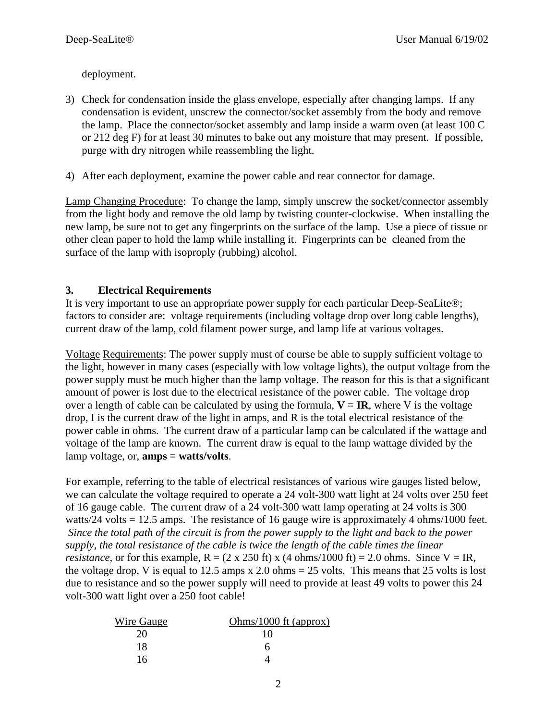deployment.

- 3) Check for condensation inside the glass envelope, especially after changing lamps. If any condensation is evident, unscrew the connector/socket assembly from the body and remove the lamp. Place the connector/socket assembly and lamp inside a warm oven (at least 100 C or 212 deg F) for at least 30 minutes to bake out any moisture that may present. If possible, purge with dry nitrogen while reassembling the light.
- 4) After each deployment, examine the power cable and rear connector for damage.

Lamp Changing Procedure: To change the lamp, simply unscrew the socket/connector assembly from the light body and remove the old lamp by twisting counter-clockwise. When installing the new lamp, be sure not to get any fingerprints on the surface of the lamp. Use a piece of tissue or other clean paper to hold the lamp while installing it. Fingerprints can be cleaned from the surface of the lamp with isoproply (rubbing) alcohol.

# **3. Electrical Requirements**

It is very important to use an appropriate power supply for each particular Deep-SeaLite®; factors to consider are: voltage requirements (including voltage drop over long cable lengths), current draw of the lamp, cold filament power surge, and lamp life at various voltages.

Voltage Requirements: The power supply must of course be able to supply sufficient voltage to the light, however in many cases (especially with low voltage lights), the output voltage from the power supply must be much higher than the lamp voltage. The reason for this is that a significant amount of power is lost due to the electrical resistance of the power cable. The voltage drop over a length of cable can be calculated by using the formula,  $V = IR$ , where V is the voltage drop, I is the current draw of the light in amps, and R is the total electrical resistance of the power cable in ohms. The current draw of a particular lamp can be calculated if the wattage and voltage of the lamp are known. The current draw is equal to the lamp wattage divided by the lamp voltage, or, **amps = watts/volts**.

For example, referring to the table of electrical resistances of various wire gauges listed below, we can calculate the voltage required to operate a 24 volt-300 watt light at 24 volts over 250 feet of 16 gauge cable. The current draw of a 24 volt-300 watt lamp operating at 24 volts is 300 watts/24 volts = 12.5 amps. The resistance of 16 gauge wire is approximately 4 ohms/1000 feet. *Since the total path of the circuit is from the power supply to the light and back to the power supply, the total resistance of the cable is twice the length of the cable times the linear resistance*, or for this example,  $R = (2 \times 250 \text{ ft}) \times (4 \text{ ohms}/1000 \text{ ft}) = 2.0 \text{ ohms}$ . Since  $V = IR$ , the voltage drop, V is equal to 12.5 amps x 2.0 ohms  $= 25$  volts. This means that 25 volts is lost due to resistance and so the power supply will need to provide at least 49 volts to power this 24 volt-300 watt light over a 250 foot cable!

| Wire Gauge | Ohms/1000 ft (approx) |
|------------|-----------------------|
| 20         | 10                    |
| 18         |                       |
| 16         |                       |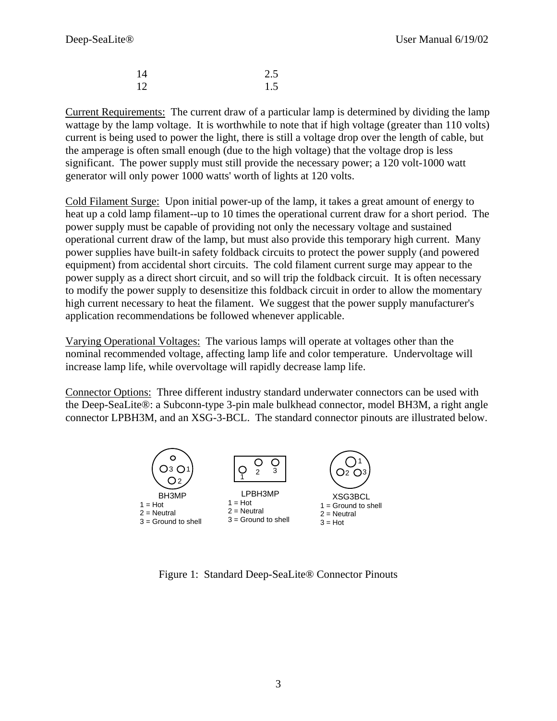| -14 | 2.5 |
|-----|-----|
| -12 | 1.5 |

Current Requirements: The current draw of a particular lamp is determined by dividing the lamp wattage by the lamp voltage. It is worthwhile to note that if high voltage (greater than 110 volts) current is being used to power the light, there is still a voltage drop over the length of cable, but the amperage is often small enough (due to the high voltage) that the voltage drop is less significant. The power supply must still provide the necessary power; a 120 volt-1000 watt generator will only power 1000 watts' worth of lights at 120 volts.

Cold Filament Surge: Upon initial power-up of the lamp, it takes a great amount of energy to heat up a cold lamp filament--up to 10 times the operational current draw for a short period. The power supply must be capable of providing not only the necessary voltage and sustained operational current draw of the lamp, but must also provide this temporary high current. Many power supplies have built-in safety foldback circuits to protect the power supply (and powered equipment) from accidental short circuits. The cold filament current surge may appear to the power supply as a direct short circuit, and so will trip the foldback circuit. It is often necessary to modify the power supply to desensitize this foldback circuit in order to allow the momentary high current necessary to heat the filament. We suggest that the power supply manufacturer's application recommendations be followed whenever applicable.

Varying Operational Voltages: The various lamps will operate at voltages other than the nominal recommended voltage, affecting lamp life and color temperature. Undervoltage will increase lamp life, while overvoltage will rapidly decrease lamp life.

Connector Options: Three different industry standard underwater connectors can be used with the Deep-SeaLite®: a Subconn-type 3-pin male bulkhead connector, model BH3M, a right angle connector LPBH3M, and an XSG-3-BCL. The standard connector pinouts are illustrated below.



Figure 1: Standard Deep-SeaLite® Connector Pinouts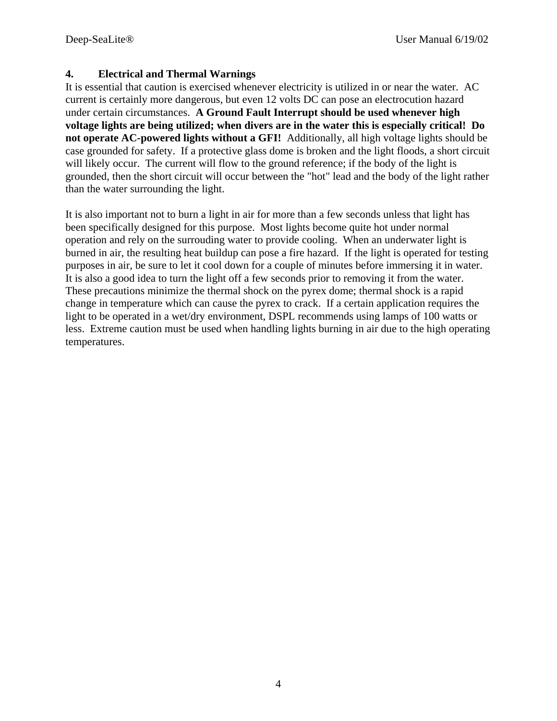# **4. Electrical and Thermal Warnings**

It is essential that caution is exercised whenever electricity is utilized in or near the water. AC current is certainly more dangerous, but even 12 volts DC can pose an electrocution hazard under certain circumstances. **A Ground Fault Interrupt should be used whenever high voltage lights are being utilized; when divers are in the water this is especially critical! Do not operate AC-powered lights without a GFI!** Additionally, all high voltage lights should be case grounded for safety. If a protective glass dome is broken and the light floods, a short circuit will likely occur. The current will flow to the ground reference; if the body of the light is grounded, then the short circuit will occur between the "hot" lead and the body of the light rather than the water surrounding the light.

It is also important not to burn a light in air for more than a few seconds unless that light has been specifically designed for this purpose. Most lights become quite hot under normal operation and rely on the surrouding water to provide cooling. When an underwater light is burned in air, the resulting heat buildup can pose a fire hazard. If the light is operated for testing purposes in air, be sure to let it cool down for a couple of minutes before immersing it in water. It is also a good idea to turn the light off a few seconds prior to removing it from the water. These precautions minimize the thermal shock on the pyrex dome; thermal shock is a rapid change in temperature which can cause the pyrex to crack. If a certain application requires the light to be operated in a wet/dry environment, DSPL recommends using lamps of 100 watts or less. Extreme caution must be used when handling lights burning in air due to the high operating temperatures.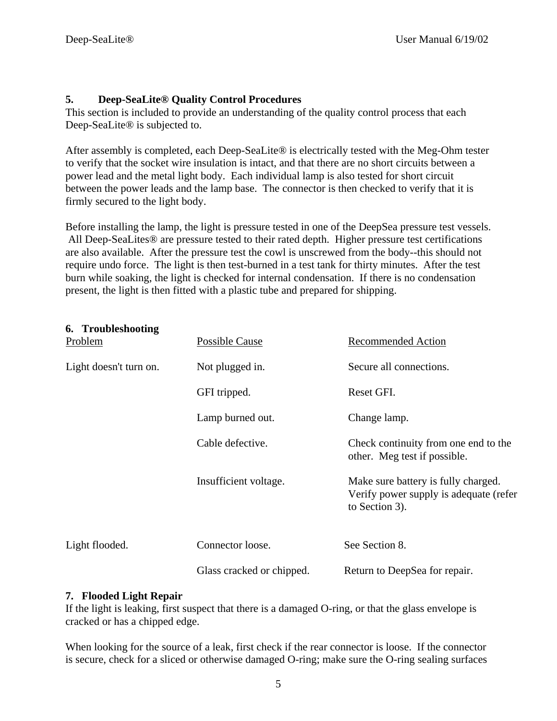# **5. Deep-SeaLite® Quality Control Procedures**

This section is included to provide an understanding of the quality control process that each Deep-SeaLite® is subjected to.

After assembly is completed, each Deep-SeaLite® is electrically tested with the Meg-Ohm tester to verify that the socket wire insulation is intact, and that there are no short circuits between a power lead and the metal light body. Each individual lamp is also tested for short circuit between the power leads and the lamp base. The connector is then checked to verify that it is firmly secured to the light body.

Before installing the lamp, the light is pressure tested in one of the DeepSea pressure test vessels. All Deep-SeaLites® are pressure tested to their rated depth. Higher pressure test certifications are also available. After the pressure test the cowl is unscrewed from the body--this should not require undo force. The light is then test-burned in a test tank for thirty minutes. After the test burn while soaking, the light is checked for internal condensation. If there is no condensation present, the light is then fitted with a plastic tube and prepared for shipping.

| 6. Troubleshooting<br><b>Problem</b> | <b>Possible Cause</b>     | <b>Recommended Action</b>                                                                       |
|--------------------------------------|---------------------------|-------------------------------------------------------------------------------------------------|
| Light doesn't turn on.               | Not plugged in.           | Secure all connections.                                                                         |
|                                      | GFI tripped.              | Reset GFI.                                                                                      |
|                                      | Lamp burned out.          | Change lamp.                                                                                    |
|                                      | Cable defective.          | Check continuity from one end to the<br>other. Meg test if possible.                            |
|                                      | Insufficient voltage.     | Make sure battery is fully charged.<br>Verify power supply is adequate (refer<br>to Section 3). |
| Light flooded.                       | Connector loose.          | See Section 8.                                                                                  |
|                                      | Glass cracked or chipped. | Return to DeepSea for repair.                                                                   |

## **7. Flooded Light Repair**

If the light is leaking, first suspect that there is a damaged O-ring, or that the glass envelope is cracked or has a chipped edge.

When looking for the source of a leak, first check if the rear connector is loose. If the connector is secure, check for a sliced or otherwise damaged O-ring; make sure the O-ring sealing surfaces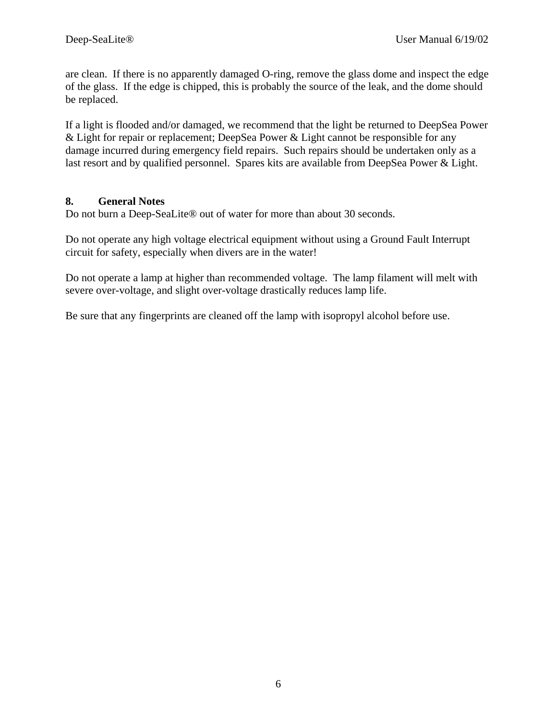are clean. If there is no apparently damaged O-ring, remove the glass dome and inspect the edge of the glass. If the edge is chipped, this is probably the source of the leak, and the dome should be replaced.

If a light is flooded and/or damaged, we recommend that the light be returned to DeepSea Power & Light for repair or replacement; DeepSea Power & Light cannot be responsible for any damage incurred during emergency field repairs. Such repairs should be undertaken only as a last resort and by qualified personnel. Spares kits are available from DeepSea Power & Light.

# **8. General Notes**

Do not burn a Deep-SeaLite® out of water for more than about 30 seconds.

Do not operate any high voltage electrical equipment without using a Ground Fault Interrupt circuit for safety, especially when divers are in the water!

Do not operate a lamp at higher than recommended voltage. The lamp filament will melt with severe over-voltage, and slight over-voltage drastically reduces lamp life.

Be sure that any fingerprints are cleaned off the lamp with isopropyl alcohol before use.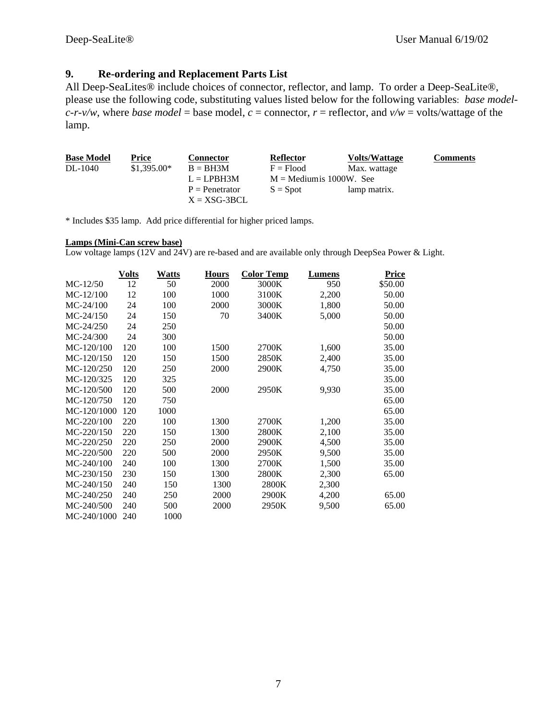### **9. Re-ordering and Replacement Parts List**

All Deep-SeaLites<sup>®</sup> include choices of connector, reflector, and lamp. To order a Deep-SeaLite<sup>®</sup>, please use the following code, substituting values listed below for the following variables: *base modelc-r-v/w*, where *base model* = base model, *c* = connector, *r* = reflector, and  $v/w$  = volts/wattage of the lamp.

| <b>Base Model</b> | Price        | <b>Connector</b> | Reflector                 | <b>Volts/Wattage</b> | <b>Comments</b> |
|-------------------|--------------|------------------|---------------------------|----------------------|-----------------|
| DL-1040           | $$1.395.00*$ | $B = BH3M$       | $F = Flood$               | Max. wattage         |                 |
|                   |              | $L = LPBH3M$     | $M =$ Mediumis 1000W. See |                      |                 |
|                   |              | $P =$ Penetrator | $S = S$ pot               | lamp matrix.         |                 |
|                   |              | $X = XSG-3BCL$   |                           |                      |                 |

\* Includes \$35 lamp. Add price differential for higher priced lamps.

### **Lamps (Mini-Can screw base)**

Low voltage lamps (12V and 24V) are re-based and are available only through DeepSea Power & Light.

|               | <b>Volts</b> | <b>Watts</b> | Hours | <b>Color Temp</b> | Lumens | <b>Price</b> |
|---------------|--------------|--------------|-------|-------------------|--------|--------------|
| $MC-12/50$    | 12           | 50           | 2000  | 3000K             | 950    | \$50.00      |
| $MC-12/100$   | 12           | 100          | 1000  | 3100K             | 2,200  | 50.00        |
| $MC-24/100$   | 24           | 100          | 2000  | 3000K             | 1,800  | 50.00        |
| $MC-24/150$   | 24           | 150          | 70    | 3400K             | 5,000  | 50.00        |
| $MC-24/250$   | 24           | 250          |       |                   |        | 50.00        |
| $MC-24/300$   | 24           | 300          |       |                   |        | 50.00        |
| MC-120/100    | 120          | 100          | 1500  | 2700K             | 1,600  | 35.00        |
| MC-120/150    | 120          | 150          | 1500  | 2850K             | 2,400  | 35.00        |
| MC-120/250    | 120          | 250          | 2000  | 2900K             | 4,750  | 35.00        |
| MC-120/325    | 120          | 325          |       |                   |        | 35.00        |
| MC-120/500    | 120          | 500          | 2000  | 2950K             | 9,930  | 35.00        |
| MC-120/750    | 120          | 750          |       |                   |        | 65.00        |
| MC-120/1000   | 120          | 1000         |       |                   |        | 65.00        |
| MC-220/100    | 220          | 100          | 1300  | 2700K             | 1,200  | 35.00        |
| MC-220/150    | 220          | 150          | 1300  | 2800K             | 2,100  | 35.00        |
| MC-220/250    | 220          | 250          | 2000  | 2900K             | 4,500  | 35.00        |
| MC-220/500    | 220          | 500          | 2000  | 2950K             | 9,500  | 35.00        |
| MC-240/100    | 240          | 100          | 1300  | 2700K             | 1,500  | 35.00        |
| MC-230/150    | 230          | 150          | 1300  | 2800K             | 2,300  | 65.00        |
| MC-240/150    | 240          | 150          | 1300  | 2800K             | 2,300  |              |
| MC-240/250    | 240          | 250          | 2000  | 2900K             | 4,200  | 65.00        |
| MC-240/500    | 240          | 500          | 2000  | 2950K             | 9,500  | 65.00        |
| $MC-240/1000$ | 240          | 1000         |       |                   |        |              |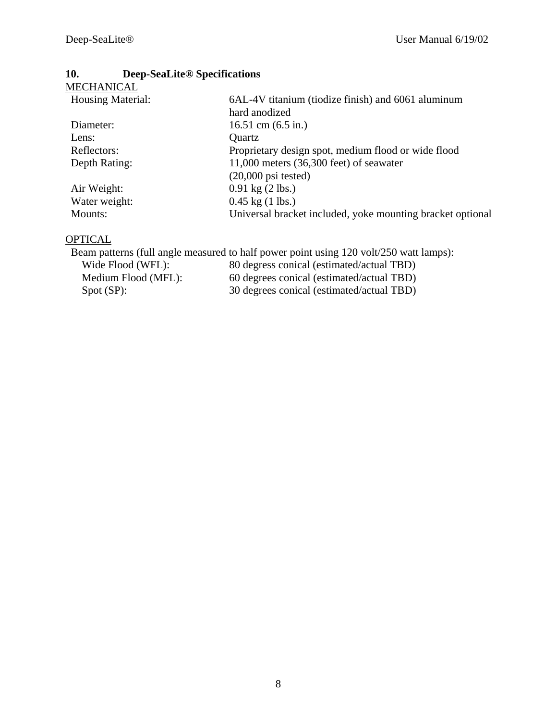# **10. Deep-SeaLite® Specifications**

| MECHANICAL        |                                                            |
|-------------------|------------------------------------------------------------|
| Housing Material: | 6AL-4V titanium (tiodize finish) and 6061 aluminum         |
|                   | hard anodized                                              |
| Diameter:         | 16.51 cm $(6.5 \text{ in.})$                               |
| Lens:             | Quartz                                                     |
| Reflectors:       | Proprietary design spot, medium flood or wide flood        |
| Depth Rating:     | $11,000$ meters $(36,300$ feet) of seawater                |
|                   | $(20,000 \text{ psi tested})$                              |
| Air Weight:       | $0.91 \text{ kg} (2 \text{ lbs.})$                         |
| Water weight:     | $0.45$ kg $(1$ lbs.)                                       |
| Mounts:           | Universal bracket included, yoke mounting bracket optional |
|                   |                                                            |

# **OPTICAL**

|                     | Beam patterns (full angle measured to half power point using 120 volt/250 watt lamps): |
|---------------------|----------------------------------------------------------------------------------------|
| Wide Flood (WFL):   | 80 degress conical (estimated/actual TBD)                                              |
| Medium Flood (MFL): | 60 degrees conical (estimated/actual TBD)                                              |
| Spot (SP):          | 30 degrees conical (estimated/actual TBD)                                              |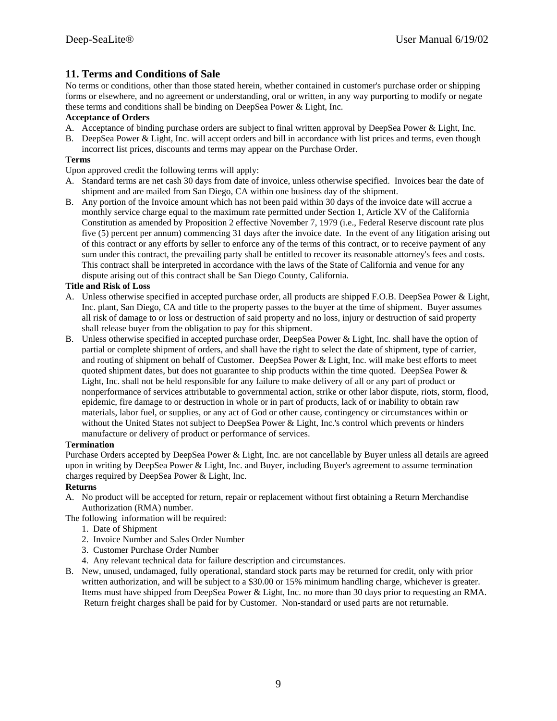### **11. Terms and Conditions of Sale**

No terms or conditions, other than those stated herein, whether contained in customer's purchase order or shipping forms or elsewhere, and no agreement or understanding, oral or written, in any way purporting to modify or negate these terms and conditions shall be binding on DeepSea Power & Light, Inc.

### **Acceptance of Orders**

- A. Acceptance of binding purchase orders are subject to final written approval by DeepSea Power & Light, Inc.
- B. DeepSea Power & Light, Inc. will accept orders and bill in accordance with list prices and terms, even though incorrect list prices, discounts and terms may appear on the Purchase Order.

### **Terms**

Upon approved credit the following terms will apply:

- A. Standard terms are net cash 30 days from date of invoice, unless otherwise specified. Invoices bear the date of shipment and are mailed from San Diego, CA within one business day of the shipment.
- B. Any portion of the Invoice amount which has not been paid within 30 days of the invoice date will accrue a monthly service charge equal to the maximum rate permitted under Section 1, Article XV of the California Constitution as amended by Proposition 2 effective November 7, 1979 (i.e., Federal Reserve discount rate plus five (5) percent per annum) commencing 31 days after the invoice date. In the event of any litigation arising out of this contract or any efforts by seller to enforce any of the terms of this contract, or to receive payment of any sum under this contract, the prevailing party shall be entitled to recover its reasonable attorney's fees and costs. This contract shall be interpreted in accordance with the laws of the State of California and venue for any dispute arising out of this contract shall be San Diego County, California.

### **Title and Risk of Loss**

- A. Unless otherwise specified in accepted purchase order, all products are shipped F.O.B. DeepSea Power & Light, Inc. plant, San Diego, CA and title to the property passes to the buyer at the time of shipment. Buyer assumes all risk of damage to or loss or destruction of said property and no loss, injury or destruction of said property shall release buyer from the obligation to pay for this shipment.
- B. Unless otherwise specified in accepted purchase order, DeepSea Power & Light, Inc. shall have the option of partial or complete shipment of orders, and shall have the right to select the date of shipment, type of carrier, and routing of shipment on behalf of Customer. DeepSea Power & Light, Inc. will make best efforts to meet quoted shipment dates, but does not guarantee to ship products within the time quoted. DeepSea Power  $\&$ Light, Inc. shall not be held responsible for any failure to make delivery of all or any part of product or nonperformance of services attributable to governmental action, strike or other labor dispute, riots, storm, flood, epidemic, fire damage to or destruction in whole or in part of products, lack of or inability to obtain raw materials, labor fuel, or supplies, or any act of God or other cause, contingency or circumstances within or without the United States not subject to DeepSea Power & Light, Inc.'s control which prevents or hinders manufacture or delivery of product or performance of services.

### **Termination**

Purchase Orders accepted by DeepSea Power & Light, Inc. are not cancellable by Buyer unless all details are agreed upon in writing by DeepSea Power & Light, Inc. and Buyer, including Buyer's agreement to assume termination charges required by DeepSea Power & Light, Inc.

### **Returns**

A. No product will be accepted for return, repair or replacement without first obtaining a Return Merchandise Authorization (RMA) number.

The following information will be required:

- 1. Date of Shipment
- 2. Invoice Number and Sales Order Number
- 3. Customer Purchase Order Number
- 4. Any relevant technical data for failure description and circumstances.
- B. New, unused, undamaged, fully operational, standard stock parts may be returned for credit, only with prior written authorization, and will be subject to a \$30.00 or 15% minimum handling charge, whichever is greater. Items must have shipped from DeepSea Power & Light, Inc. no more than 30 days prior to requesting an RMA. Return freight charges shall be paid for by Customer. Non-standard or used parts are not returnable.